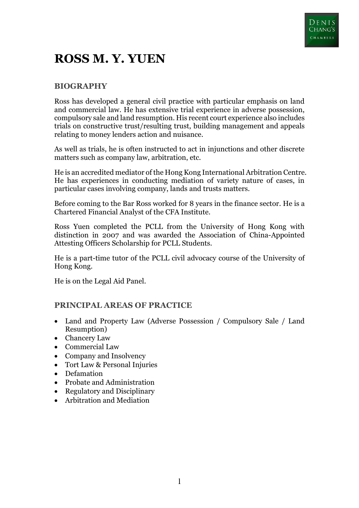# **ROSS M. Y. YUEN**

# **BIOGRAPHY**

Ross has developed a general civil practice with particular emphasis on land and commercial law. He has extensive trial experience in adverse possession, compulsory sale and land resumption. His recent court experience also includes trials on constructive trust/resulting trust, building management and appeals relating to money lenders action and nuisance.

As well as trials, he is often instructed to act in injunctions and other discrete matters such as company law, arbitration, etc.

He is an accredited mediator of the Hong Kong International Arbitration Centre. He has experiences in conducting mediation of variety nature of cases, in particular cases involving company, lands and trusts matters.

Before coming to the Bar Ross worked for 8 years in the finance sector. He is a Chartered Financial Analyst of the CFA Institute.

Ross Yuen completed the PCLL from the University of Hong Kong with distinction in 2007 and was awarded the Association of China-Appointed Attesting Officers Scholarship for PCLL Students.

He is a part-time tutor of the PCLL civil advocacy course of the University of Hong Kong.

He is on the Legal Aid Panel.

# **PRINCIPAL AREAS OF PRACTICE**

- Land and Property Law (Adverse Possession / Compulsory Sale / Land Resumption)
- Chancery Law
- Commercial Law
- Company and Insolvency
- Tort Law & Personal Injuries
- Defamation
- Probate and Administration
- Regulatory and Disciplinary
- Arbitration and Mediation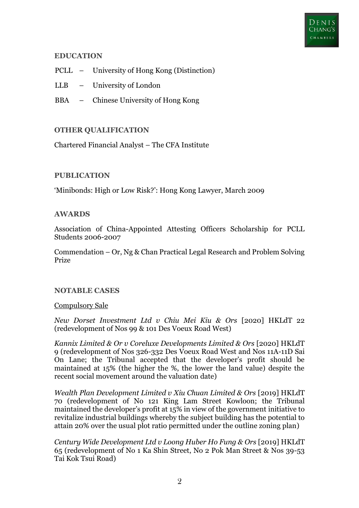

### **EDUCATION**

- PCLL University of Hong Kong (Distinction)
- LLB University of London
- BBA Chinese University of Hong Kong

## **OTHER QUALIFICATION**

Chartered Financial Analyst – The CFA Institute

## **PUBLICATION**

'Minibonds: High or Low Risk?': Hong Kong Lawyer, March 2009

#### **AWARDS**

Association of China-Appointed Attesting Officers Scholarship for PCLL Students 2006-2007

Commendation – Or, Ng & Chan Practical Legal Research and Problem Solving Prize

#### **NOTABLE CASES**

#### Compulsory Sale

*New Dorset Investment Ltd v Chiu Mei Kiu & Ors* [2020] HKLdT 22 (redevelopment of Nos 99 & 101 Des Voeux Road West)

*Kannix Limited & Or v Coreluxe Developments Limited & Ors* [2020] HKLdT 9 (redevelopment of Nos 326-332 Des Voeux Road West and Nos 11A-11D Sai On Lane; the Tribunal accepted that the developer's profit should be maintained at 15% (the higher the %, the lower the land value) despite the recent social movement around the valuation date)

*Wealth Plan Development Limited v Xiu Chuan Limited & Ors* [2019] HKLdT 70 (redevelopment of No 121 King Lam Street Kowloon; the Tribunal maintained the developer's profit at 15% in view of the government initiative to revitalize industrial buildings whereby the subject building has the potential to attain 20% over the usual plot ratio permitted under the outline zoning plan)

*Century Wide Development Ltd v Loong Huber Ho Fung & Ors* [2019] HKLdT 65 (redevelopment of No 1 Ka Shin Street, No 2 Pok Man Street & Nos 39-53 Tai Kok Tsui Road)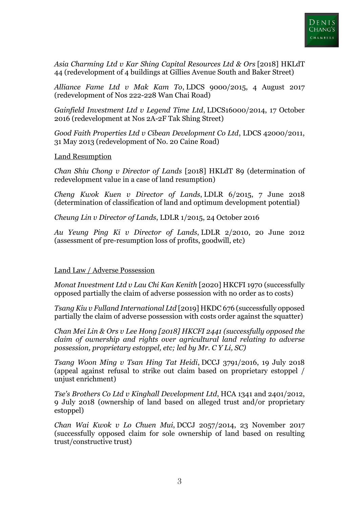

*Asia Charming Ltd v Kar Shing Capital Resources Ltd & Ors* [2018] HKLdT 44 (redevelopment of 4 buildings at Gillies Avenue South and Baker Street)

*Alliance Fame Ltd v Mak Kam To*, LDCS 9000/2015, 4 August 2017 (redevelopment of Nos 222-228 Wan Chai Road)

*Gainfield Investment Ltd v Legend Time Ltd*, LDCS16000/2014, 17 October 2016 (redevelopment at Nos 2A-2F Tak Shing Street)

*Good Faith Properties Ltd v Cibean Development Co Ltd*, LDCS 42000/2011, 31 May 2013 (redevelopment of No. 20 Caine Road)

#### Land Resumption

*Chan Shiu Chong v Director of Lands* [2018] HKLdT 89 (determination of redevelopment value in a case of land resumption)

*Cheng Kwok Kuen v Director of Lands*, LDLR 6/2015, 7 June 2018 (determination of classification of land and optimum development potential)

*Cheung Lin v Director of Lands*, LDLR 1/2015, 24 October 2016

*Au Yeung Ping Ki v Director of Lands*, LDLR 2/2010, 20 June 2012 (assessment of pre-resumption loss of profits, goodwill, etc)

#### Land Law / Adverse Possession

*Monat Investment Ltd v Lau Chi Kan Kenith* [2020] HKCFI 1970 (successfully opposed partially the claim of adverse possession with no order as to costs)

*Tsang Kiu v Fulland International Ltd* [2019] HKDC 676 (successfully opposed partially the claim of adverse possession with costs order against the squatter)

*Chan Mei Lin & Ors v Lee Hong [2018] HKCFI 2441 (successfully opposed the claim of ownership and rights over agricultural land relating to adverse possession, proprietary estoppel, etc; led by Mr. C Y Li, SC)* 

*Tsang Woon Ming v Tsan Hing Tat Heidi*, DCCJ 3791/2016, 19 July 2018 (appeal against refusal to strike out claim based on proprietary estoppel / unjust enrichment)

*Tse's Brothers Co Ltd v Kinghall Development Ltd*, HCA 1341 and 2401/2012, 9 July 2018 (ownership of land based on alleged trust and/or proprietary estoppel)

*Chan Wai Kwok v Lo Chuen Mui*, DCCJ 2057/2014, 23 November 2017 (successfully opposed claim for sole ownership of land based on resulting trust/constructive trust)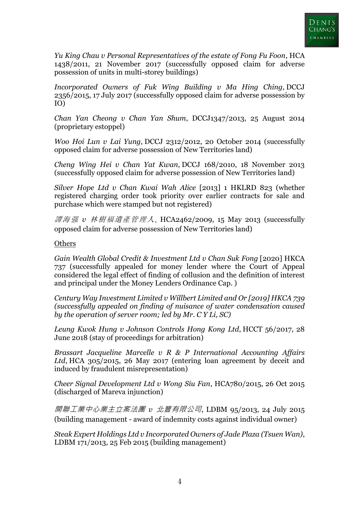

*Yu King Chau v Personal Representatives of the estate of Fong Fu Foon*, HCA 1438/2011, 21 November 2017 (successfully opposed claim for adverse possession of units in multi-storey buildings)

*Incorporated Owners of Fuk Wing Building v Ma Hing Ching*, DCCJ 2356/2015, 17 July 2017 (successfully opposed claim for adverse possession by IO)

*Chan Yan Cheong v Chan Yan Shum*, DCCJ1347/2013, 25 August 2014 (proprietary estoppel)

*Woo Hoi Lun v Lai Yung*, DCCJ 2312/2012, 20 October 2014 (successfully opposed claim for adverse possession of New Territories land)

*Cheng Wing Hei v Chan Yat Kwan*, DCCJ 168/2010, 18 November 2013 (successfully opposed claim for adverse possession of New Territories land)

*Silver Hope Ltd v Chan Kwai Wah Alice* [2013] 1 HKLRD 823 (whether registered charging order took priority over earlier contracts for sale and purchase which were stamped but not registered)

譚海强 *v* 林樹福遺產管理人, HCA2462/2009, 15 May 2013 (successfully opposed claim for adverse possession of New Territories land)

#### **Others**

*Gain Wealth Global Credit & Investment Ltd v Chan Suk Fong* [2020] HKCA 737 (successfully appealed for money lender where the Court of Appeal considered the legal effect of finding of collusion and the definition of interest and principal under the Money Lenders Ordinance Cap. )

*Century Way Investment Limited v Willbert Limited and Or [2019] HKCA 739 (successfully appealed on finding of nuisance of water condensation caused by the operation of server room; led by Mr. C Y Li, SC)* 

*Leung Kwok Hung v Johnson Controls Hong Kong Ltd*, HCCT 56/2017, 28 June 2018 (stay of proceedings for arbitration)

*Brassart Jacqueline Marcelle v R & P International Accounting Affairs Ltd*, HCA 305/2015, 26 May 2017 (entering loan agreement by deceit and induced by fraudulent misrepresentation)

*Cheer Signal Development Ltd v Wong Siu Fan*, HCA780/2015, 26 Oct 2015 (discharged of Mareva injunction)

開聯工業中心業主立案法團 *v* 北豐有限公司, LDBM 95/2013, 24 July 2015 (building management - award of indemnity costs against individual owner)

*Steak Expert Holdings Ltd v Incorporated Owners of Jade Plaza (Tsuen Wan)*, LDBM 171/2013, 25 Feb 2015 (building management)